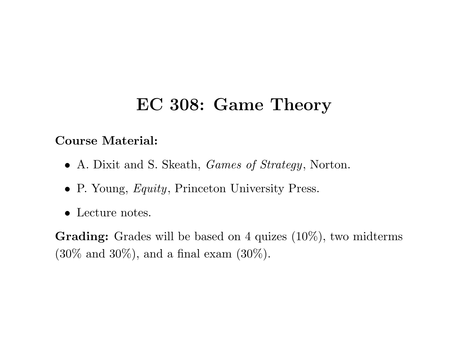# **EC 308: Game Theory**

#### **Course Material:**

- *•* A. Dixit and S. Skeath, *Games of Strategy*, Norton.
- *•* P. Young, *Equity*, Princeton University Press.
- *•* Lecture notes.

**Grading:** Grades will be based on <sup>4</sup> quizes (10%), two midterms  $(30\% \text{ and } 30\%), \text{ and a final exam } (30\%).$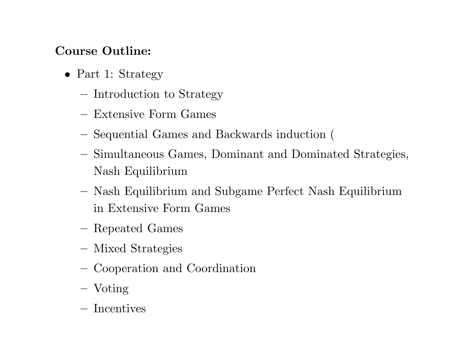#### **Course Outline:**

- *•* Part 1: Strategy
	- **–**- Introduction to Strategy
	- **–** Extensive Form Games
	- Sequential Games and Backwards induction (
	- **–** Simultaneous Games, Dominant and Dominated Strategies, Nash Equilibrium
	- **–** Nash Equilibrium and Subgame Perfect Nash Equilibrium in Extensive Form Games
	- **–**Repeated Games
	- **–**Mixed Strategies
	- **–**Cooperation and Coordination
	- **–** $-$  Voting
	- **–** Incentives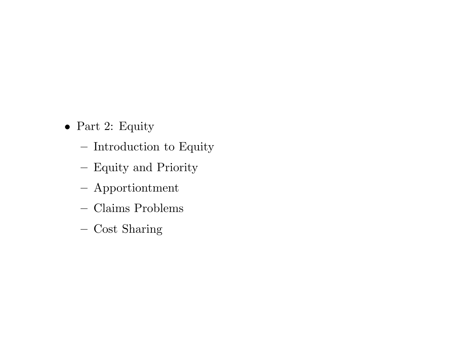- *•* Part 2: Equity
	- **–**- Introduction to Equity
	- Equity and Priority
	- **–**Apportiontment
	- **–** Claims Problems
	- **–**Cost Sharing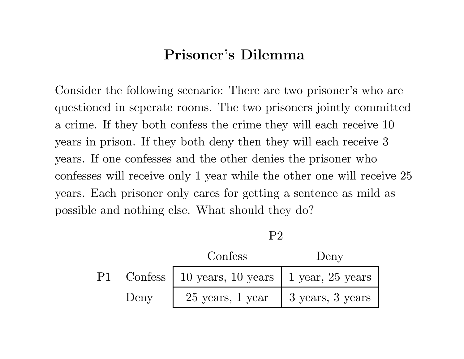### **Prisoner's Dilemma**

Consider the following scenario: There are two prisoner's who are questioned in seperate rooms. The two prisoners jointly committed <sup>a</sup> crime. If they both confess the crime they will each receive 10 years in prison. If they both deny then they will each receive 3 years. If one confesses and the other denies the prisoner who confesses will receive only 1 year while the other one will receive 25 years. Each prisoner only cares for getting <sup>a</sup> sentence as mild as possible and nothing else. What should they do?

P2

|      | Confess                                            | Deny |
|------|----------------------------------------------------|------|
|      | P1 Confess   10 years, 10 years   1 year, 25 years |      |
| Deny | $25$ years, 1 year   3 years, 3 years              |      |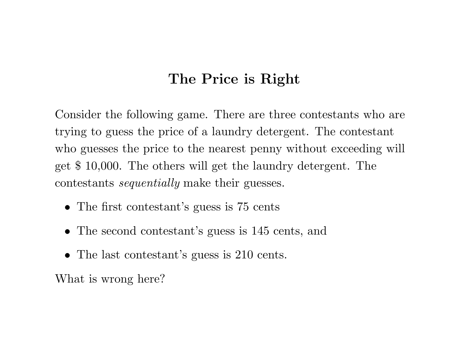### **The Price is Right**

Consider the following game. There are three contestants who are trying to guess the price of <sup>a</sup> laundry detergent. The contestant who guesses the price to the nearest penny without exceeding will get \$ 10,000. The others will get the laundry detergent. The contestants *sequentially* make their guesses.

- The first contestant's guess is 75 cents
- The second contestant's guess is 145 cents, and
- The last contestant's guess is 210 cents.

What is wrong here?